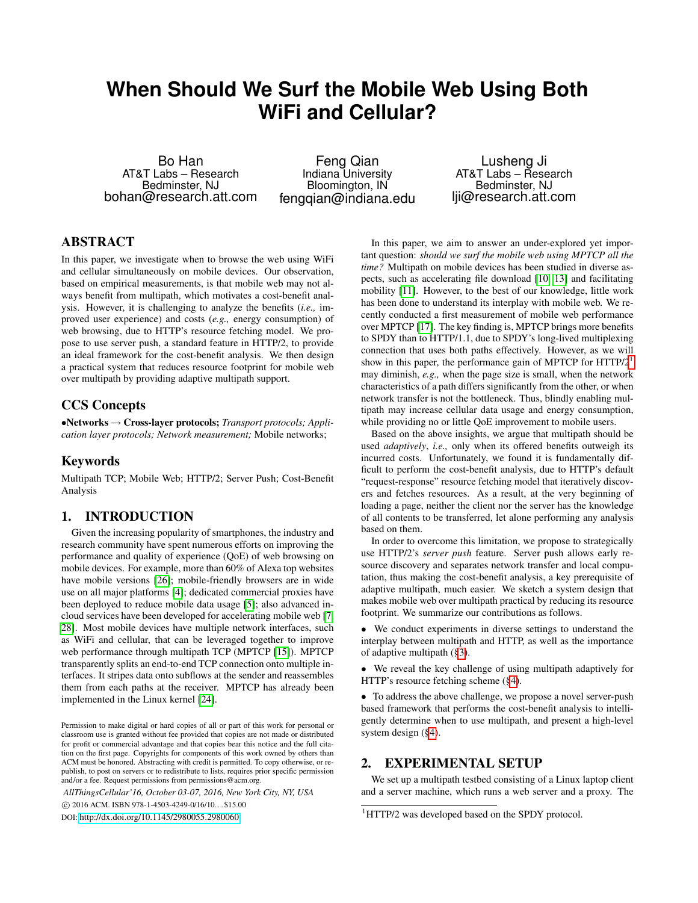# **When Should We Surf the Mobile Web Using Both WiFi and Cellular?**

Bo Han AT&T Labs – Research Bedminster, NJ bohan@research.att.com

Feng Qian Indiana University Bloomington, IN fengqian@indiana.edu

Lusheng Ji AT&T Labs – Research Bedminster, NJ lji@research.att.com

## ABSTRACT

In this paper, we investigate when to browse the web using WiFi and cellular simultaneously on mobile devices. Our observation, based on empirical measurements, is that mobile web may not always benefit from multipath, which motivates a cost-benefit analysis. However, it is challenging to analyze the benefits (*i.e.,* improved user experience) and costs (*e.g.,* energy consumption) of web browsing, due to HTTP's resource fetching model. We propose to use server push, a standard feature in HTTP/2, to provide an ideal framework for the cost-benefit analysis. We then design a practical system that reduces resource footprint for mobile web over multipath by providing adaptive multipath support.

## CCS Concepts

•Networks → Cross-layer protocols; *Transport protocols; Application layer protocols; Network measurement;* Mobile networks;

## Keywords

Multipath TCP; Mobile Web; HTTP/2; Server Push; Cost-Benefit Analysis

# 1. INTRODUCTION

Given the increasing popularity of smartphones, the industry and research community have spent numerous efforts on improving the performance and quality of experience (QoE) of web browsing on mobile devices. For example, more than 60% of Alexa top websites have mobile versions [\[26\]](#page-5-0); mobile-friendly browsers are in wide use on all major platforms [\[4\]](#page-5-1); dedicated commercial proxies have been deployed to reduce mobile data usage [\[5\]](#page-5-2); also advanced incloud services have been developed for accelerating mobile web [\[7,](#page-5-3) [28\]](#page-5-4). Most mobile devices have multiple network interfaces, such as WiFi and cellular, that can be leveraged together to improve web performance through multipath TCP (MPTCP [\[15\]](#page-5-5)). MPTCP transparently splits an end-to-end TCP connection onto multiple interfaces. It stripes data onto subflows at the sender and reassembles them from each paths at the receiver. MPTCP has already been implemented in the Linux kernel [\[24\]](#page-5-6).

Permission to make digital or hard copies of all or part of this work for personal or classroom use is granted without fee provided that copies are not made or distributed for profit or commercial advantage and that copies bear this notice and the full citation on the first page. Copyrights for components of this work owned by others than ACM must be honored. Abstracting with credit is permitted. To copy otherwise, or republish, to post on servers or to redistribute to lists, requires prior specific permission and/or a fee. Request permissions from permissions@acm.org.

*AllThingsCellular'16, October 03-07, 2016, New York City, NY, USA*

c 2016 ACM. ISBN 978-1-4503-4249-0/16/10. . . \$15.00

DOI: [http://dx.doi.org/10.1145/2980055.2980060]( http://dx.doi.org/10.1145/2980055.2980060)

In this paper, we aim to answer an under-explored yet important question: *should we surf the mobile web using MPTCP all the time?* Multipath on mobile devices has been studied in diverse aspects, such as accelerating file download [\[10,](#page-5-7) [13\]](#page-5-8) and facilitating mobility [\[11\]](#page-5-9). However, to the best of our knowledge, little work has been done to understand its interplay with mobile web. We recently conducted a first measurement of mobile web performance over MPTCP [\[17\]](#page-5-10). The key finding is, MPTCP brings more benefits to SPDY than to HTTP/1.1, due to SPDY's long-lived multiplexing connection that uses both paths effectively. However, as we will show in this paper, the performance gain of MPTCP for  $HTTP/2<sup>1</sup>$  $HTTP/2<sup>1</sup>$  $HTTP/2<sup>1</sup>$ may diminish, *e.g.,* when the page size is small, when the network characteristics of a path differs significantly from the other, or when network transfer is not the bottleneck. Thus, blindly enabling multipath may increase cellular data usage and energy consumption, while providing no or little QoE improvement to mobile users.

Based on the above insights, we argue that multipath should be used *adaptively*, *i.e.,* only when its offered benefits outweigh its incurred costs. Unfortunately, we found it is fundamentally difficult to perform the cost-benefit analysis, due to HTTP's default "request-response" resource fetching model that iteratively discovers and fetches resources. As a result, at the very beginning of loading a page, neither the client nor the server has the knowledge of all contents to be transferred, let alone performing any analysis based on them.

In order to overcome this limitation, we propose to strategically use HTTP/2's *server push* feature. Server push allows early resource discovery and separates network transfer and local computation, thus making the cost-benefit analysis, a key prerequisite of adaptive multipath, much easier. We sketch a system design that makes mobile web over multipath practical by reducing its resource footprint. We summarize our contributions as follows.

• We conduct experiments in diverse settings to understand the interplay between multipath and HTTP, as well as the importance of adaptive multipath ([§3\)](#page-1-0).

• We reveal the key challenge of using multipath adaptively for HTTP's resource fetching scheme ([§4\)](#page-2-0).

• To address the above challenge, we propose a novel server-push based framework that performs the cost-benefit analysis to intelligently determine when to use multipath, and present a high-level system design ([§4\)](#page-2-0).

#### <span id="page-0-1"></span>2. EXPERIMENTAL SETUP

We set up a multipath testbed consisting of a Linux laptop client and a server machine, which runs a web server and a proxy. The

<span id="page-0-0"></span><sup>&</sup>lt;sup>1</sup>HTTP/2 was developed based on the SPDY protocol.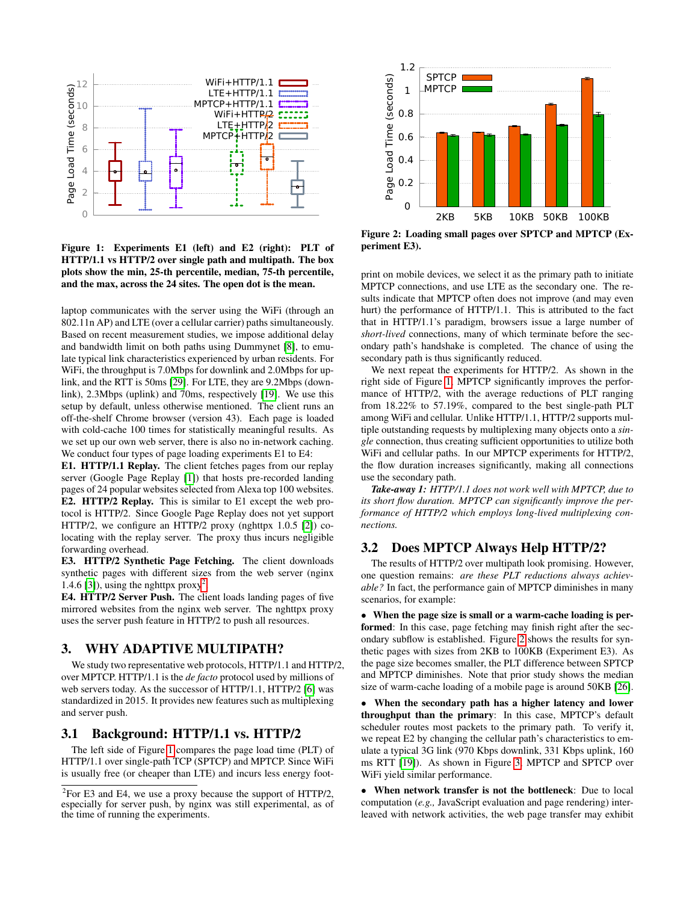

<span id="page-1-2"></span>Figure 1: Experiments E1 (left) and E2 (right): PLT of HTTP/1.1 vs HTTP/2 over single path and multipath. The box plots show the min, 25-th percentile, median, 75-th percentile, and the max, across the 24 sites. The open dot is the mean.

laptop communicates with the server using the WiFi (through an 802.11n AP) and LTE (over a cellular carrier) paths simultaneously. Based on recent measurement studies, we impose additional delay and bandwidth limit on both paths using Dummynet [\[8\]](#page-5-11), to emulate typical link characteristics experienced by urban residents. For WiFi, the throughput is 7.0Mbps for downlink and 2.0Mbps for uplink, and the RTT is 50ms [\[29\]](#page-5-12). For LTE, they are 9.2Mbps (downlink), 2.3Mbps (uplink) and 70ms, respectively [\[19\]](#page-5-13). We use this setup by default, unless otherwise mentioned. The client runs an off-the-shelf Chrome browser (version 43). Each page is loaded with cold-cache 100 times for statistically meaningful results. As we set up our own web server, there is also no in-network caching. We conduct four types of page loading experiments E1 to E4:

E1. HTTP/1.1 Replay. The client fetches pages from our replay server (Google Page Replay [\[1\]](#page-5-14)) that hosts pre-recorded landing pages of 24 popular websites selected from Alexa top 100 websites. E2. HTTP/2 Replay. This is similar to E1 except the web protocol is HTTP/2. Since Google Page Replay does not yet support HTTP/2, we configure an HTTP/2 proxy (nghttpx 1.0.5 [\[2\]](#page-5-15)) colocating with the replay server. The proxy thus incurs negligible forwarding overhead.

E3. HTTP/2 Synthetic Page Fetching. The client downloads synthetic pages with different sizes from the web server (nginx 1.4.6 [\[3\]](#page-5-16)), using the nghttpx  $proxy^2$  $proxy^2$ .

E4. HTTP/2 Server Push. The client loads landing pages of five mirrored websites from the nginx web server. The nghttpx proxy uses the server push feature in HTTP/2 to push all resources.

#### <span id="page-1-0"></span>3. WHY ADAPTIVE MULTIPATH?

We study two representative web protocols, HTTP/1.1 and HTTP/2, over MPTCP. HTTP/1.1 is the *de facto* protocol used by millions of web servers today. As the successor of HTTP/1.1, HTTP/2 [\[6\]](#page-5-17) was standardized in 2015. It provides new features such as multiplexing and server push.

## 3.1 Background: HTTP/1.1 vs. HTTP/2

The left side of Figure [1](#page-1-2) compares the page load time (PLT) of HTTP/1.1 over single-path TCP (SPTCP) and MPTCP. Since WiFi is usually free (or cheaper than LTE) and incurs less energy foot-



<span id="page-1-3"></span>Figure 2: Loading small pages over SPTCP and MPTCP (Experiment E3).

print on mobile devices, we select it as the primary path to initiate MPTCP connections, and use LTE as the secondary one. The results indicate that MPTCP often does not improve (and may even hurt) the performance of HTTP/1.1. This is attributed to the fact that in HTTP/1.1's paradigm, browsers issue a large number of *short-lived* connections, many of which terminate before the secondary path's handshake is completed. The chance of using the secondary path is thus significantly reduced.

We next repeat the experiments for HTTP/2. As shown in the right side of Figure [1,](#page-1-2) MPTCP significantly improves the performance of HTTP/2, with the average reductions of PLT ranging from 18.22% to 57.19%, compared to the best single-path PLT among WiFi and cellular. Unlike HTTP/1.1, HTTP/2 supports multiple outstanding requests by multiplexing many objects onto a *single* connection, thus creating sufficient opportunities to utilize both WiFi and cellular paths. In our MPTCP experiments for HTTP/2, the flow duration increases significantly, making all connections use the secondary path.

*Take-away 1: HTTP/1.1 does not work well with MPTCP, due to its short flow duration. MPTCP can significantly improve the performance of HTTP/2 which employs long-lived multiplexing connections.*

## <span id="page-1-4"></span>3.2 Does MPTCP Always Help HTTP/2?

The results of HTTP/2 over multipath look promising. However, one question remains: *are these PLT reductions always achievable?* In fact, the performance gain of MPTCP diminishes in many scenarios, for example:

• When the page size is small or a warm-cache loading is performed: In this case, page fetching may finish right after the secondary subflow is established. Figure [2](#page-1-3) shows the results for synthetic pages with sizes from 2KB to 100KB (Experiment E3). As the page size becomes smaller, the PLT difference between SPTCP and MPTCP diminishes. Note that prior study shows the median size of warm-cache loading of a mobile page is around 50KB [\[26\]](#page-5-0).

• When the secondary path has a higher latency and lower throughput than the primary: In this case, MPTCP's default scheduler routes most packets to the primary path. To verify it, we repeat E2 by changing the cellular path's characteristics to emulate a typical 3G link (970 Kbps downlink, 331 Kbps uplink, 160 ms RTT [\[19\]](#page-5-13)). As shown in Figure [3,](#page-2-1) MPTCP and SPTCP over WiFi yield similar performance.

• When network transfer is not the bottleneck: Due to local computation (*e.g.,* JavaScript evaluation and page rendering) interleaved with network activities, the web page transfer may exhibit

<span id="page-1-1"></span> $2^2$ For E3 and E4, we use a proxy because the support of HTTP/2, especially for server push, by nginx was still experimental, as of the time of running the experiments.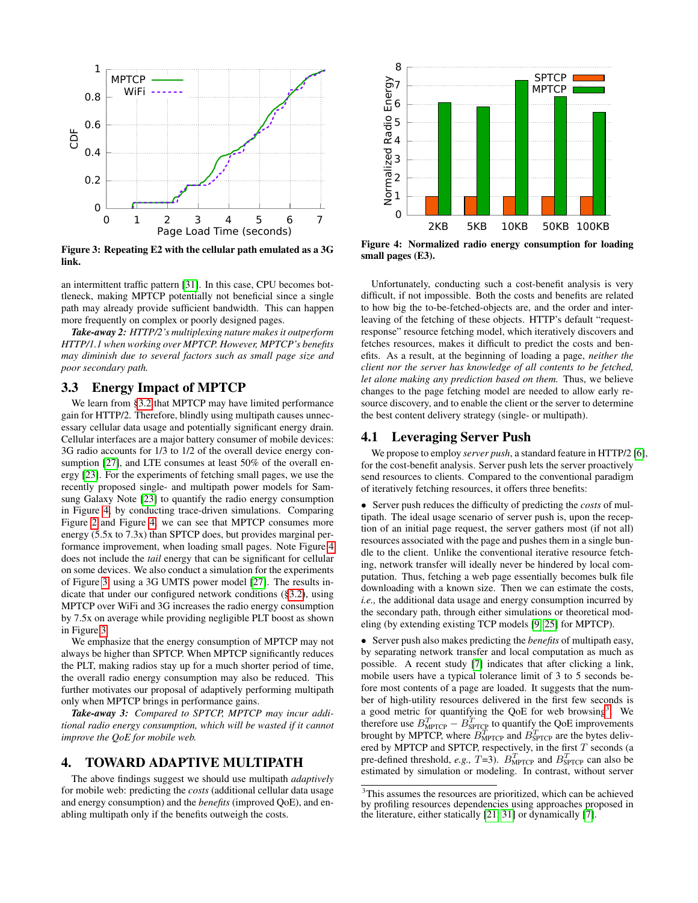

<span id="page-2-1"></span>Figure 3: Repeating E2 with the cellular path emulated as a 3G link.

an intermittent traffic pattern [\[31\]](#page-5-18). In this case, CPU becomes bottleneck, making MPTCP potentially not beneficial since a single path may already provide sufficient bandwidth. This can happen more frequently on complex or poorly designed pages.

*Take-away 2: HTTP/2's multiplexing nature makes it outperform HTTP/1.1 when working over MPTCP. However, MPTCP's benefits may diminish due to several factors such as small page size and poor secondary path.*

## 3.3 Energy Impact of MPTCP

We learn from [§3.2](#page-1-4) that MPTCP may have limited performance gain for HTTP/2. Therefore, blindly using multipath causes unnecessary cellular data usage and potentially significant energy drain. Cellular interfaces are a major battery consumer of mobile devices: 3G radio accounts for 1/3 to 1/2 of the overall device energy con-sumption [\[27\]](#page-5-19), and LTE consumes at least 50% of the overall energy [\[23\]](#page-5-20). For the experiments of fetching small pages, we use the recently proposed single- and multipath power models for Samsung Galaxy Note [\[23\]](#page-5-20) to quantify the radio energy consumption in Figure [4,](#page-2-2) by conducting trace-driven simulations. Comparing Figure [2](#page-1-3) and Figure [4,](#page-2-2) we can see that MPTCP consumes more energy (5.5x to 7.3x) than SPTCP does, but provides marginal performance improvement, when loading small pages. Note Figure [4](#page-2-2) does not include the *tail* energy that can be significant for cellular on some devices. We also conduct a simulation for the experiments of Figure [3,](#page-2-1) using a 3G UMTS power model [\[27\]](#page-5-19). The results indicate that under our configured network conditions ([§3.2\)](#page-1-4), using MPTCP over WiFi and 3G increases the radio energy consumption by 7.5x on average while providing negligible PLT boost as shown in Figure [3.](#page-2-1)

We emphasize that the energy consumption of MPTCP may not always be higher than SPTCP. When MPTCP significantly reduces the PLT, making radios stay up for a much shorter period of time, the overall radio energy consumption may also be reduced. This further motivates our proposal of adaptively performing multipath only when MPTCP brings in performance gains.

*Take-away 3: Compared to SPTCP, MPTCP may incur additional radio energy consumption, which will be wasted if it cannot improve the QoE for mobile web.*

#### <span id="page-2-0"></span>4. TOWARD ADAPTIVE MULTIPATH

The above findings suggest we should use multipath *adaptively* for mobile web: predicting the *costs* (additional cellular data usage and energy consumption) and the *benefits* (improved QoE), and enabling multipath only if the benefits outweigh the costs.



<span id="page-2-2"></span>Figure 4: Normalized radio energy consumption for loading small pages (E3).

Unfortunately, conducting such a cost-benefit analysis is very difficult, if not impossible. Both the costs and benefits are related to how big the to-be-fetched-objects are, and the order and interleaving of the fetching of these objects. HTTP's default "requestresponse" resource fetching model, which iteratively discovers and fetches resources, makes it difficult to predict the costs and benefits. As a result, at the beginning of loading a page, *neither the client nor the server has knowledge of all contents to be fetched, let alone making any prediction based on them.* Thus, we believe changes to the page fetching model are needed to allow early resource discovery, and to enable the client or the server to determine the best content delivery strategy (single- or multipath).

#### <span id="page-2-4"></span>4.1 Leveraging Server Push

We propose to employ *server push*, a standard feature in HTTP/2 [\[6\]](#page-5-17), for the cost-benefit analysis. Server push lets the server proactively send resources to clients. Compared to the conventional paradigm of iteratively fetching resources, it offers three benefits:

• Server push reduces the difficulty of predicting the *costs* of multipath. The ideal usage scenario of server push is, upon the reception of an initial page request, the server gathers most (if not all) resources associated with the page and pushes them in a single bundle to the client. Unlike the conventional iterative resource fetching, network transfer will ideally never be hindered by local computation. Thus, fetching a web page essentially becomes bulk file downloading with a known size. Then we can estimate the costs, *i.e.,* the additional data usage and energy consumption incurred by the secondary path, through either simulations or theoretical modeling (by extending existing TCP models [\[9,](#page-5-21) [25\]](#page-5-22) for MPTCP).

• Server push also makes predicting the *benefits* of multipath easy, by separating network transfer and local computation as much as possible. A recent study [\[7\]](#page-5-3) indicates that after clicking a link, mobile users have a typical tolerance limit of 3 to 5 seconds before most contents of a page are loaded. It suggests that the number of high-utility resources delivered in the first few seconds is a good metric for quantifying the QoE for web browsing<sup>[3](#page-2-3)</sup>. We therefore use  $B_{\text{MPTCP}}^T - B_{\text{SPTCP}}^T$  to quantify the QoE improvements brought by MPTCP, where  $B_{\text{MPTCP}}^T$  and  $B_{\text{SPTCP}}^T$  are the bytes delivered by MPTCP and SPTCP, respectively, in the first  $T$  seconds (a pre-defined threshold, *e.g.*,  $T=3$ ).  $B_{\text{MPTCP}}^T$  and  $B_{\text{SPTCP}}^T$  can also be estimated by simulation or modeling. In contrast, without server

<span id="page-2-3"></span><sup>3</sup>This assumes the resources are prioritized, which can be achieved by profiling resources dependencies using approaches proposed in the literature, either statically [\[21,](#page-5-23) [31\]](#page-5-18) or dynamically [\[7\]](#page-5-3).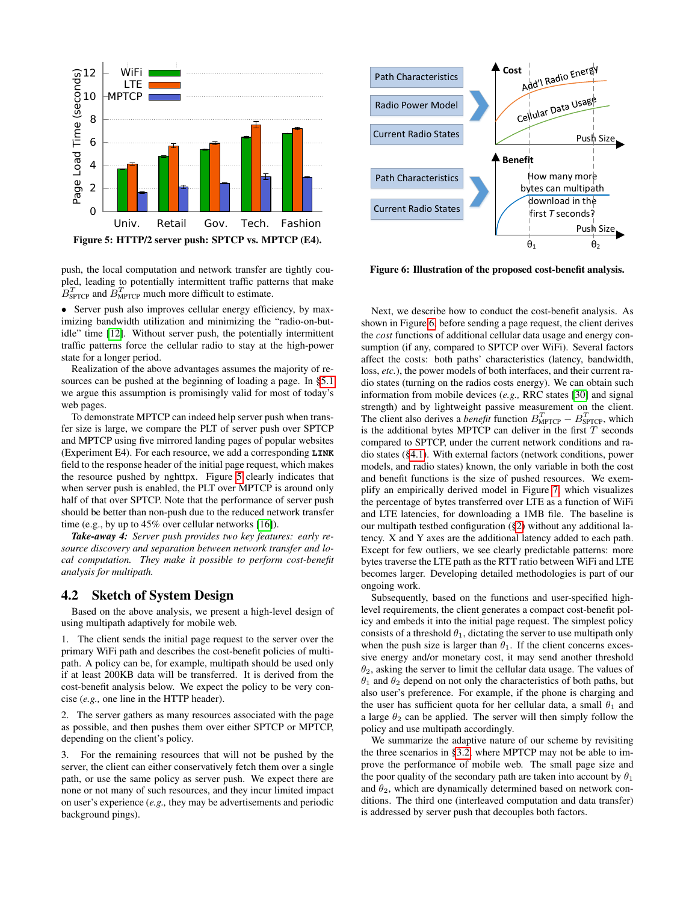

<span id="page-3-0"></span>push, the local computation and network transfer are tightly coupled, leading to potentially intermittent traffic patterns that make  $B<sub>SPTCP</sub><sup>T</sup>$  and  $B<sub>MPTCP</sub><sup>T</sup>$  much more difficult to estimate.

• Server push also improves cellular energy efficiency, by maximizing bandwidth utilization and minimizing the "radio-on-butidle" time [\[12\]](#page-5-24). Without server push, the potentially intermittent traffic patterns force the cellular radio to stay at the high-power state for a longer period.

Realization of the above advantages assumes the majority of resources can be pushed at the beginning of loading a page. In [§5.1](#page-4-0) we argue this assumption is promisingly valid for most of today's web pages.

To demonstrate MPTCP can indeed help server push when transfer size is large, we compare the PLT of server push over SPTCP and MPTCP using five mirrored landing pages of popular websites (Experiment E4). For each resource, we add a corresponding **LINK** field to the response header of the initial page request, which makes the resource pushed by nghttpx. Figure [5](#page-3-0) clearly indicates that when server push is enabled, the PLT over MPTCP is around only half of that over SPTCP. Note that the performance of server push should be better than non-push due to the reduced network transfer time (e.g., by up to 45% over cellular networks [\[16\]](#page-5-25)).

*Take-away 4: Server push provides two key features: early resource discovery and separation between network transfer and local computation. They make it possible to perform cost-benefit analysis for multipath.*

#### <span id="page-3-2"></span>4.2 Sketch of System Design

Based on the above analysis, we present a high-level design of using multipath adaptively for mobile web.

1. The client sends the initial page request to the server over the primary WiFi path and describes the cost-benefit policies of multipath. A policy can be, for example, multipath should be used only if at least 200KB data will be transferred. It is derived from the cost-benefit analysis below. We expect the policy to be very concise (*e.g.,* one line in the HTTP header).

2. The server gathers as many resources associated with the page as possible, and then pushes them over either SPTCP or MPTCP, depending on the client's policy.

3. For the remaining resources that will not be pushed by the server, the client can either conservatively fetch them over a single path, or use the same policy as server push. We expect there are none or not many of such resources, and they incur limited impact on user's experience (*e.g.,* they may be advertisements and periodic background pings).



<span id="page-3-1"></span>Figure 6: Illustration of the proposed cost-benefit analysis.

Next, we describe how to conduct the cost-benefit analysis. As shown in Figure [6,](#page-3-1) before sending a page request, the client derives the *cost* functions of additional cellular data usage and energy consumption (if any, compared to SPTCP over WiFi). Several factors affect the costs: both paths' characteristics (latency, bandwidth, loss, *etc.*), the power models of both interfaces, and their current radio states (turning on the radios costs energy). We can obtain such information from mobile devices (*e.g.,* RRC states [\[30\]](#page-5-26) and signal strength) and by lightweight passive measurement on the client. The client also derives a *benefit* function  $B_{\text{MPTCP}}^T - B_{\text{SPTCP}}^T$ , which is the additional bytes MPTCP can deliver in the first  $T$  seconds compared to SPTCP, under the current network conditions and radio states ([§4.1\)](#page-2-4). With external factors (network conditions, power models, and radio states) known, the only variable in both the cost and benefit functions is the size of pushed resources. We exemplify an empirically derived model in Figure [7,](#page-4-1) which visualizes the percentage of bytes transferred over LTE as a function of WiFi and LTE latencies, for downloading a 1MB file. The baseline is our multipath testbed configuration ([§2\)](#page-0-1) without any additional latency. X and Y axes are the additional latency added to each path. Except for few outliers, we see clearly predictable patterns: more bytes traverse the LTE path as the RTT ratio between WiFi and LTE becomes larger. Developing detailed methodologies is part of our ongoing work.

Subsequently, based on the functions and user-specified highlevel requirements, the client generates a compact cost-benefit policy and embeds it into the initial page request. The simplest policy consists of a threshold  $\theta_1$ , dictating the server to use multipath only when the push size is larger than  $\theta_1$ . If the client concerns excessive energy and/or monetary cost, it may send another threshold  $\theta_2$ , asking the server to limit the cellular data usage. The values of  $\theta_1$  and  $\theta_2$  depend on not only the characteristics of both paths, but also user's preference. For example, if the phone is charging and the user has sufficient quota for her cellular data, a small  $\theta_1$  and a large  $\theta_2$  can be applied. The server will then simply follow the policy and use multipath accordingly.

We summarize the adaptive nature of our scheme by revisiting the three scenarios in [§3.2,](#page-1-4) where MPTCP may not be able to improve the performance of mobile web. The small page size and the poor quality of the secondary path are taken into account by  $\theta_1$ and  $\theta_2$ , which are dynamically determined based on network conditions. The third one (interleaved computation and data transfer) is addressed by server push that decouples both factors.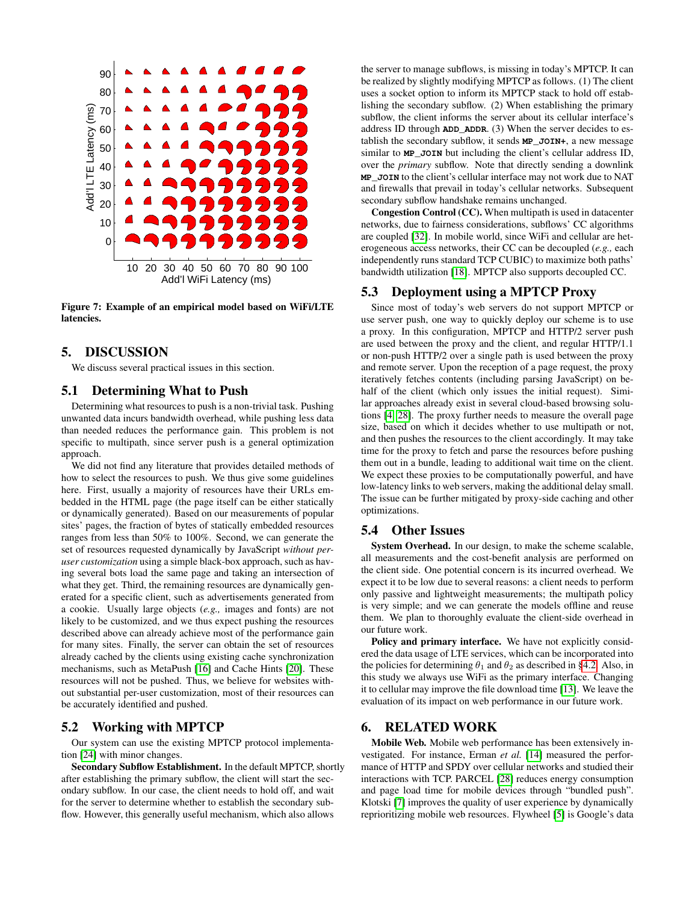

<span id="page-4-1"></span>Figure 7: Example of an empirical model based on WiFi/LTE latencies.

#### 5. DISCUSSION

We discuss several practical issues in this section.

#### <span id="page-4-0"></span>5.1 Determining What to Push

Determining what resources to push is a non-trivial task. Pushing unwanted data incurs bandwidth overhead, while pushing less data than needed reduces the performance gain. This problem is not specific to multipath, since server push is a general optimization approach.

We did not find any literature that provides detailed methods of how to select the resources to push. We thus give some guidelines here. First, usually a majority of resources have their URLs embedded in the HTML page (the page itself can be either statically or dynamically generated). Based on our measurements of popular sites' pages, the fraction of bytes of statically embedded resources ranges from less than 50% to 100%. Second, we can generate the set of resources requested dynamically by JavaScript *without peruser customization* using a simple black-box approach, such as having several bots load the same page and taking an intersection of what they get. Third, the remaining resources are dynamically generated for a specific client, such as advertisements generated from a cookie. Usually large objects (*e.g.,* images and fonts) are not likely to be customized, and we thus expect pushing the resources described above can already achieve most of the performance gain for many sites. Finally, the server can obtain the set of resources already cached by the clients using existing cache synchronization mechanisms, such as MetaPush [\[16\]](#page-5-25) and Cache Hints [\[20\]](#page-5-27). These resources will not be pushed. Thus, we believe for websites without substantial per-user customization, most of their resources can be accurately identified and pushed.

# 5.2 Working with MPTCP

Our system can use the existing MPTCP protocol implementation [\[24\]](#page-5-6) with minor changes.

Secondary Subflow Establishment. In the default MPTCP, shortly after establishing the primary subflow, the client will start the secondary subflow. In our case, the client needs to hold off, and wait for the server to determine whether to establish the secondary subflow. However, this generally useful mechanism, which also allows

the server to manage subflows, is missing in today's MPTCP. It can be realized by slightly modifying MPTCP as follows. (1) The client uses a socket option to inform its MPTCP stack to hold off establishing the secondary subflow. (2) When establishing the primary subflow, the client informs the server about its cellular interface's address ID through **ADD\_ADDR**. (3) When the server decides to establish the secondary subflow, it sends **MP\_JOIN+**, a new message similar to **MP\_JOIN** but including the client's cellular address ID, over the *primary* subflow. Note that directly sending a downlink **MP\_JOIN** to the client's cellular interface may not work due to NAT and firewalls that prevail in today's cellular networks. Subsequent secondary subflow handshake remains unchanged.

Congestion Control (CC). When multipath is used in datacenter networks, due to fairness considerations, subflows' CC algorithms are coupled [\[32\]](#page-5-28). In mobile world, since WiFi and cellular are heterogeneous access networks, their CC can be decoupled (*e.g.,* each independently runs standard TCP CUBIC) to maximize both paths' bandwidth utilization [\[18\]](#page-5-29). MPTCP also supports decoupled CC.

## 5.3 Deployment using a MPTCP Proxy

Since most of today's web servers do not support MPTCP or use server push, one way to quickly deploy our scheme is to use a proxy. In this configuration, MPTCP and HTTP/2 server push are used between the proxy and the client, and regular HTTP/1.1 or non-push HTTP/2 over a single path is used between the proxy and remote server. Upon the reception of a page request, the proxy iteratively fetches contents (including parsing JavaScript) on behalf of the client (which only issues the initial request). Similar approaches already exist in several cloud-based browsing solutions [\[4,](#page-5-1) [28\]](#page-5-4). The proxy further needs to measure the overall page size, based on which it decides whether to use multipath or not, and then pushes the resources to the client accordingly. It may take time for the proxy to fetch and parse the resources before pushing them out in a bundle, leading to additional wait time on the client. We expect these proxies to be computationally powerful, and have low-latency links to web servers, making the additional delay small. The issue can be further mitigated by proxy-side caching and other optimizations.

#### 5.4 Other Issues

System Overhead. In our design, to make the scheme scalable, all measurements and the cost-benefit analysis are performed on the client side. One potential concern is its incurred overhead. We expect it to be low due to several reasons: a client needs to perform only passive and lightweight measurements; the multipath policy is very simple; and we can generate the models offline and reuse them. We plan to thoroughly evaluate the client-side overhead in our future work.

Policy and primary interface. We have not explicitly considered the data usage of LTE services, which can be incorporated into the policies for determining  $\theta_1$  and  $\theta_2$  as described in [§4.2.](#page-3-2) Also, in this study we always use WiFi as the primary interface. Changing it to cellular may improve the file download time [\[13\]](#page-5-8). We leave the evaluation of its impact on web performance in our future work.

## 6. RELATED WORK

Mobile Web. Mobile web performance has been extensively investigated. For instance, Erman *et al.* [\[14\]](#page-5-30) measured the performance of HTTP and SPDY over cellular networks and studied their interactions with TCP. PARCEL [\[28\]](#page-5-4) reduces energy consumption and page load time for mobile devices through "bundled push". Klotski [\[7\]](#page-5-3) improves the quality of user experience by dynamically reprioritizing mobile web resources. Flywheel [\[5\]](#page-5-2) is Google's data